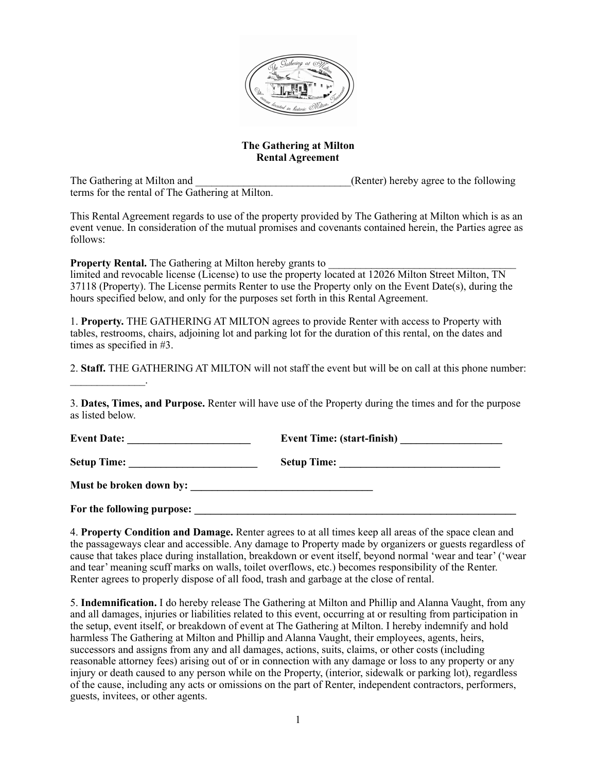

## **The Gathering at Milton Rental Agreement**

The Gathering at Milton and **Example 20** (Renter) hereby agree to the following terms for the rental of The Gathering at Milton.

 $\mathcal{L}_\text{max}$ 

This Rental Agreement regards to use of the property provided by The Gathering at Milton which is as an event venue. In consideration of the mutual promises and covenants contained herein, the Parties agree as follows:

**Property Rental.** The Gathering at Milton hereby grants to

limited and revocable license (License) to use the property located at 12026 Milton Street Milton, TN 37118 (Property). The License permits Renter to use the Property only on the Event Date(s), during the hours specified below, and only for the purposes set forth in this Rental Agreement.

1. **Property.** THE GATHERING AT MILTON agrees to provide Renter with access to Property with tables, restrooms, chairs, adjoining lot and parking lot for the duration of this rental, on the dates and times as specified in #3.

2. **Staff.** THE GATHERING AT MILTON will not staff the event but will be on call at this phone number:

3. **Dates, Times, and Purpose.** Renter will have use of the Property during the times and for the purpose as listed below.

| Event Date: $\frac{1}{\sqrt{1-\frac{1}{2}} \cdot \frac{1}{2}}$ | Event Time: (start-finish) |
|----------------------------------------------------------------|----------------------------|
|                                                                |                            |
|                                                                |                            |
| For the following purpose:                                     |                            |

4. **Property Condition and Damage.** Renter agrees to at all times keep all areas of the space clean and the passageways clear and accessible. Any damage to Property made by organizers or guests regardless of cause that takes place during installation, breakdown or event itself, beyond normal 'wear and tear' ('wear and tear' meaning scuff marks on walls, toilet overflows, etc.) becomes responsibility of the Renter. Renter agrees to properly dispose of all food, trash and garbage at the close of rental.

5. **Indemnification.** I do hereby release The Gathering at Milton and Phillip and Alanna Vaught, from any and all damages, injuries or liabilities related to this event, occurring at or resulting from participation in the setup, event itself, or breakdown of event at The Gathering at Milton. I hereby indemnify and hold harmless The Gathering at Milton and Phillip and Alanna Vaught, their employees, agents, heirs, successors and assigns from any and all damages, actions, suits, claims, or other costs (including reasonable attorney fees) arising out of or in connection with any damage or loss to any property or any injury or death caused to any person while on the Property, (interior, sidewalk or parking lot), regardless of the cause, including any acts or omissions on the part of Renter, independent contractors, performers, guests, invitees, or other agents.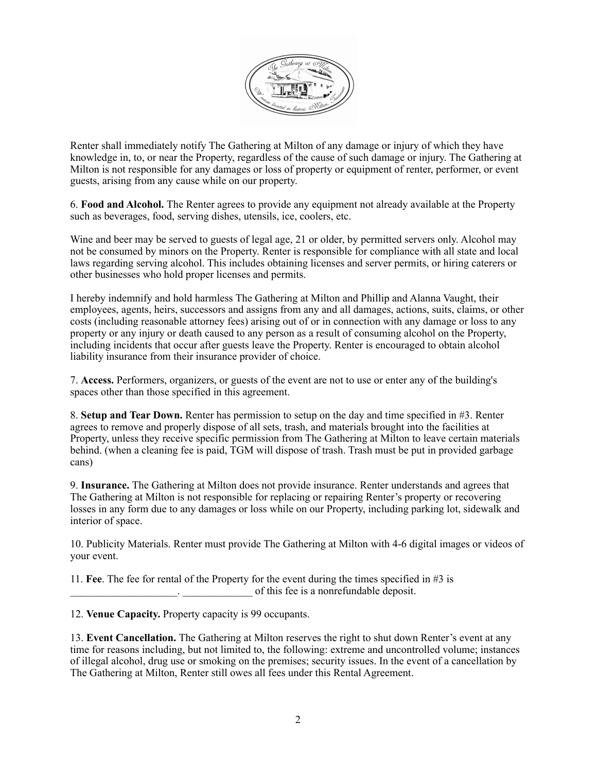

Renter shall immediately notify The Gathering at Milton of any damage or injury of which they have knowledge in, to, or near the Property, regardless of the cause of such damage or injury. The Gathering at Milton is not responsible for any damages or loss of property or equipment of renter, performer, or event guests, arising from any cause while on our property.

6. **Food and Alcohol.** The Renter agrees to provide any equipment not already available at the Property such as beverages, food, serving dishes, utensils, ice, coolers, etc.

Wine and beer may be served to guests of legal age, 21 or older, by permitted servers only. Alcohol may not be consumed by minors on the Property. Renter is responsible for compliance with all state and local laws regarding serving alcohol. This includes obtaining licenses and server permits, or hiring caterers or other businesses who hold proper licenses and permits.

I hereby indemnify and hold harmless The Gathering at Milton and Phillip and Alanna Vaught, their employees, agents, heirs, successors and assigns from any and all damages, actions, suits, claims, or other costs (including reasonable attorney fees) arising out of or in connection with any damage or loss to any property or any injury or death caused to any person as a result of consuming alcohol on the Property, including incidents that occur after guests leave the Property. Renter is encouraged to obtain alcohol liability insurance from their insurance provider of choice.

7. **Access.** Performers, organizers, or guests of the event are not to use or enter any of the building's spaces other than those specified in this agreement.

8. **Setup and Tear Down.** Renter has permission to setup on the day and time specified in #3. Renter agrees to remove and properly dispose of all sets, trash, and materials brought into the facilities at Property, unless they receive specific permission from The Gathering at Milton to leave certain materials behind. (when a cleaning fee is paid, TGM will dispose of trash. Trash must be put in provided garbage cans)

9. **Insurance.** The Gathering at Milton does not provide insurance. Renter understands and agrees that The Gathering at Milton is not responsible for replacing or repairing Renter's property or recovering losses in any form due to any damages or loss while on our Property, including parking lot, sidewalk and interior of space.

10. Publicity Materials. Renter must provide The Gathering at Milton with 4-6 digital images or videos of your event.

11. **Fee**. The fee for rental of the Property for the event during the times specified in #3 is \_\_\_\_\_\_\_\_\_\_\_\_\_\_\_\_\_\_\_\_. \_\_\_\_\_\_\_\_\_\_\_\_\_ of this fee is a nonrefundable deposit.

12. **Venue Capacity.** Property capacity is 99 occupants.

13. **Event Cancellation.** The Gathering at Milton reserves the right to shut down Renter's event at any time for reasons including, but not limited to, the following: extreme and uncontrolled volume; instances of illegal alcohol, drug use or smoking on the premises; security issues. In the event of a cancellation by The Gathering at Milton, Renter still owes all fees under this Rental Agreement.